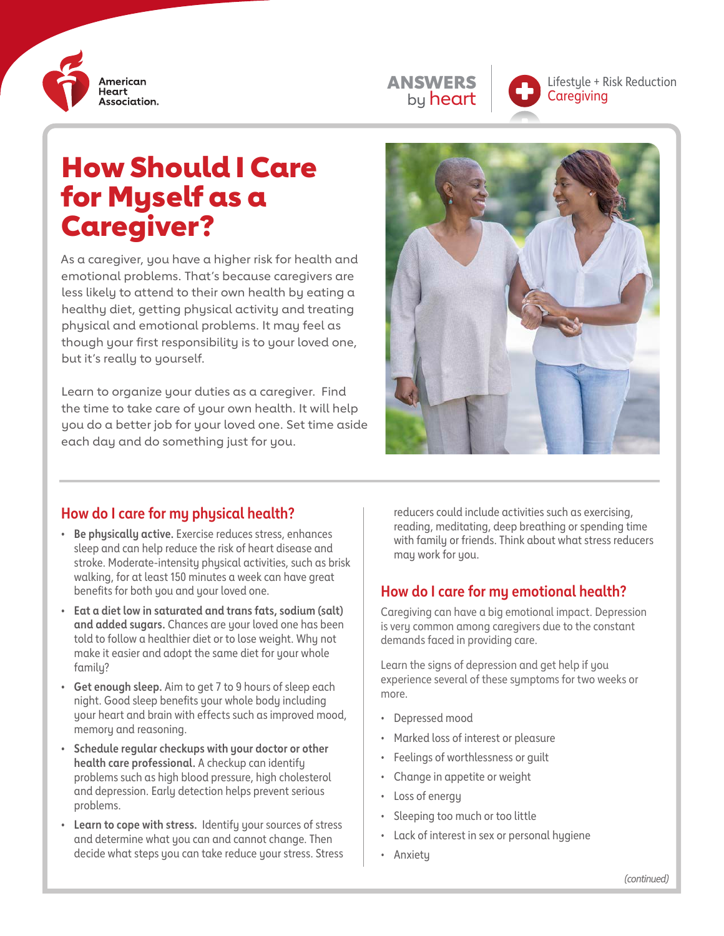





Lifestyle + Risk Reduction **Caregiving** 

# How Should I Care for Myself as a Caregiver?

As a caregiver, you have a higher risk for health and emotional problems. That's because caregivers are less likely to attend to their own health by eating a healthy diet, getting physical activity and treating physical and emotional problems. It may feel as though your first responsibility is to your loved one, but it's really to yourself.

Learn to organize your duties as a caregiver. Find the time to take care of your own health. It will help you do a better job for your loved one. Set time aside each day and do something just for you.



#### **How do I care for my physical health?**

- **• Be physically active.** Exercise reduces stress, enhances sleep and can help reduce the risk of heart disease and stroke. Moderate-intensity physical activities, such as brisk walking, for at least 150 minutes a week can have great benefits for both you and your loved one.
- **• Eat a diet low in saturated and trans fats, sodium (salt) and added sugars.** Chances are your loved one has been told to follow a healthier diet or to lose weight. Why not make it easier and adopt the same diet for your whole family?
- **• Get enough sleep.** Aim to get 7 to 9 hours of sleep each night. Good sleep benefits your whole body including your heart and brain with effects such as improved mood, memory and reasoning.
- **• Schedule regular checkups with your doctor or other health care professional.** A checkup can identify problems such as high blood pressure, high cholesterol and depression. Early detection helps prevent serious problems.
- **• Learn to cope with stress.** Identify your sources of stress and determine what you can and cannot change. Then decide what steps you can take reduce your stress. Stress

reducers could include activities such as exercising, reading, meditating, deep breathing or spending time with family or friends. Think about what stress reducers may work for you.

#### **How do I care for my emotional health?**

Caregiving can have a big emotional impact. Depression is very common among caregivers due to the constant demands faced in providing care.

Learn the signs of depression and get help if you experience several of these symptoms for two weeks or more.

- Depressed mood
- Marked loss of interest or pleasure
- Feelings of worthlessness or guilt
- Change in appetite or weight
- Loss of energy
- Sleeping too much or too little
- Lack of interest in sex or personal hygiene
- Anxiety